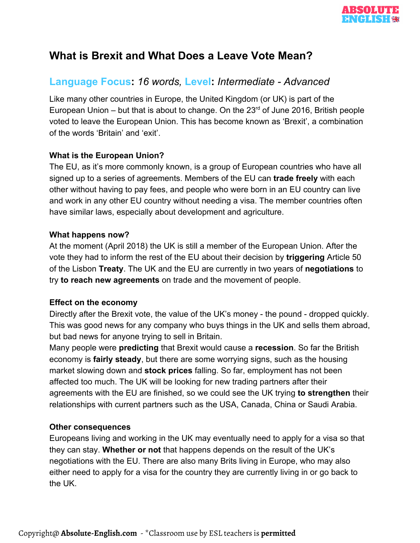

## **What is Brexit and What Does a Leave Vote Mean?**

### **Language Focus:** *16 words,* **Level:** *Intermediate - Advanced*

Like many other countries in Europe, the United Kingdom (or UK) is part of the European Union  $-$  but that is about to change. On the 23 $<sup>rd</sup>$  of June 2016, British people</sup> voted to leave the European Union. This has become known as 'Brexit', a combination of the words 'Britain' and 'exit'.

#### **What is the European Union?**

The EU, as it's more commonly known, is a group of European countries who have all signed up to a series of agreements. Members of the EU can **trade freely** with each other without having to pay fees, and people who were born in an EU country can live and work in any other EU country without needing a visa. The member countries often have similar laws, especially about development and agriculture.

#### **What happens now?**

At the moment (April 2018) the UK is still a member of the European Union. After the vote they had to inform the rest of the EU about their decision by **triggering** Article 50 of the Lisbon **Treaty**. The UK and the EU are currently in two years of **negotiations** to try **to reach new agreements** on trade and the movement of people.

#### **Effect on the economy**

Directly after the Brexit vote, the value of the UK's money - the pound - dropped quickly. This was good news for any company who buys things in the UK and sells them abroad, but bad news for anyone trying to sell in Britain.

Many people were **predicting** that Brexit would cause a **recession**. So far the British economy is **fairly steady**, but there are some worrying signs, such as the housing market slowing down and **stock prices** falling. So far, employment has not been affected too much. The UK will be looking for new trading partners after their agreements with the EU are finished, so we could see the UK trying **to strengthen** their relationships with current partners such as the USA, Canada, China or Saudi Arabia.

#### **Other consequences**

Europeans living and working in the UK may eventually need to apply for a visa so that they can stay. **Whether or not** that happens depends on the result of the UK's negotiations with the EU. There are also many Brits living in Europe, who may also either need to apply for a visa for the country they are currently living in or go back to the UK.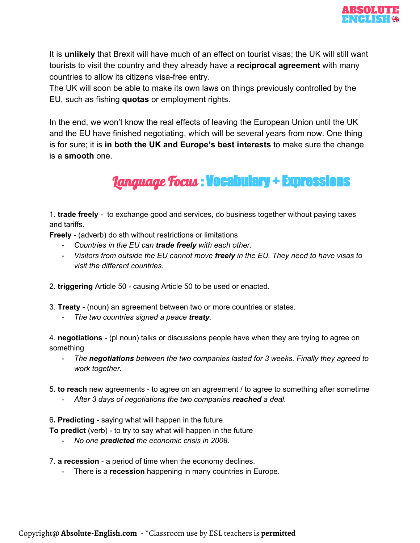

It is **unlikely** that Brexit will have much of an effect on tourist visas; the UK will still want tourists to visit the country and they already have a **reciprocal agreement** with many countries to allow its citizens visa-free entry.

The UK will soon be able to make its own laws on things previously controlled by the EU, such as fishing **quotas** or employment rights.

In the end, we won't know the real effects of leaving the European Union until the UK and the EU have finished negotiating, which will be several years from now. One thing is for sure; it is **in both the UK and Europe's best interests** to make sure the change is a **smooth** one.

# Language Focus : Vocabulary + Expressions

1. **trade freely** - to exchange good and services, do business together without paying taxes and tariffs.

**Freely** - (adverb) do sth without restrictions or limitations

- *- Countries in the EU can trade freely with each other.*
- *- Visitors from outside the EU cannot move freely in the EU. They need to have visas to visit the different countries.*
- 2. **triggering** Article 50 causing Article 50 to be used or enacted.
- 3. **Treaty** (noun) an agreement between two or more countries or states.
	- *- The two countries signed a peace treaty.*

4. **negotiations** - (pl noun) talks or discussions people have when they are trying to agree on something

- *- The negotiations between the two companies lasted for 3 weeks. Finally they agreed to work together.*
- 5**. to reach** new agreements to agree on an agreement / to agree to something after sometime
	- *- After 3 days of negotiations the two companies reached a deal.*

6**. Predicting** - saying what will happen in the future

**To predict** (verb) - to try to say what will happen in the future

- *- No one predicted the economic crisis in 2008.*
- 7. **a recession** a period of time when the economy declines.
	- There is a **recession** happening in many countries in Europe.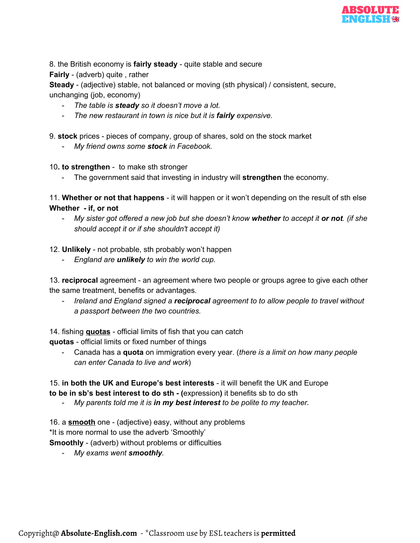

8. the British economy is **fairly steady** - quite stable and secure

**Fairly** - (adverb) quite , rather

**Steady** - (adjective) stable, not balanced or moving (sth physical) / consistent, secure, unchanging (job, economy)

- *- The table is steady so it doesn't move a lot.*
- *- The new restaurant in town is nice but it is fairly expensive.*

9. **stock** prices - pieces of company, group of shares, sold on the stock market

- *- My friend owns some stock in Facebook.*
- 10**. to strengthen** to make sth stronger
	- The government said that investing in industry will **strengthen** the economy.

11. **Whether or not that happens** - it will happen or it won't depending on the result of sth else **Whether - if, or not**

- My sister got offered a new job but she doesn't know whether to accept it or not. (if she *should accept it or if she shouldn't accept it)*
- 12. **Unlikely** not probable, sth probably won't happen
	- *- England are unlikely to win the world cup.*

13. **reciprocal** agreement - an agreement where two people or groups agree to give each other the same treatment, benefits or advantages.

*- Ireland and England signed a reciprocal agreement to to allow people to travel without a passport between the two countries.*

14. fishing **quotas** - official limits of fish that you can catch

**quotas** - official limits or fixed number of things

- Canada has a **quota** on immigration every year. (*there is a limit on how many people can enter Canada to live and work*)

15. **in both the UK and Europe's best interests** - it will benefit the UK and Europe **to be in sb's best interest to do sth - (**expression**)** it benefits sb to do sth

*- My parents told me it is in my best interest to be polite to my teacher.*

16. a **smooth** one - (adjective) easy, without any problems \*It is more normal to use the adverb 'Smoothly'

**Smoothly** - (adverb) without problems or difficulties

*- My exams went smoothly.*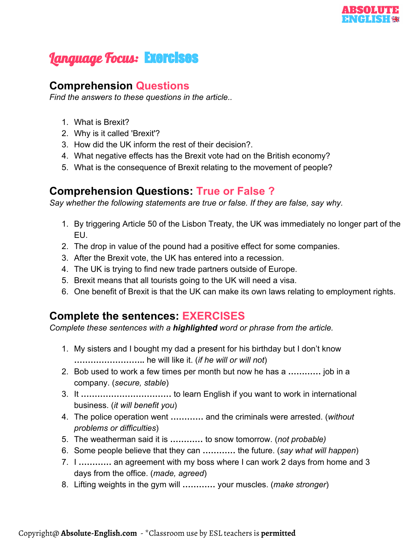

# **Language Focus: Exercises**

### **Comprehension Questions**

*Find the answers to these questions in the article..*

- 1. What is Brexit?
- 2. Why is it called 'Brexit'?
- 3. How did the UK inform the rest of their decision?.
- 4. What negative effects has the Brexit vote had on the British economy?
- 5. What is the consequence of Brexit relating to the movement of people?

### **Comprehension Questions: True or False ?**

*Say whether the following statements are true or false. If they are false, say why.*

- 1. By triggering Article 50 of the Lisbon Treaty, the UK was immediately no longer part of the EU.
- 2. The drop in value of the pound had a positive effect for some companies.
- 3. After the Brexit vote, the UK has entered into a recession.
- 4. The UK is trying to find new trade partners outside of Europe.
- 5. Brexit means that all tourists going to the UK will need a visa.
- 6. One benefit of Brexit is that the UK can make its own laws relating to employment rights.

### **Complete the sentences: EXERCISES**

*Complete these sentences with a highlighted word or phrase from the article.*

- 1. My sisters and I bought my dad a present for his birthday but I don't know **……………………..** he will like it. (*if he will or will not*)
- 2. Bob used to work a few times per month but now he has a **…………** job in a company. (*secure, stable*)
- 3. It **……………………………** to learn English if you want to work in international business. (*it will benefit you*)
- 4. The police operation went **…………** and the criminals were arrested. (*without problems or difficulties*)
- 5. The weatherman said it is **…………** to snow tomorrow. (*not probable)*
- 6. Some people believe that they can **…………** the future. (*say what will happen*)
- 7. I **…………** an agreement with my boss where I can work 2 days from home and 3 days from the office. (*made, agreed*)
- 8. Lifting weights in the gym will **…………** your muscles. (*make stronger*)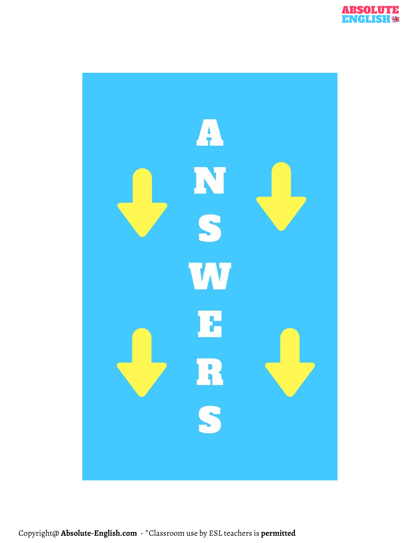

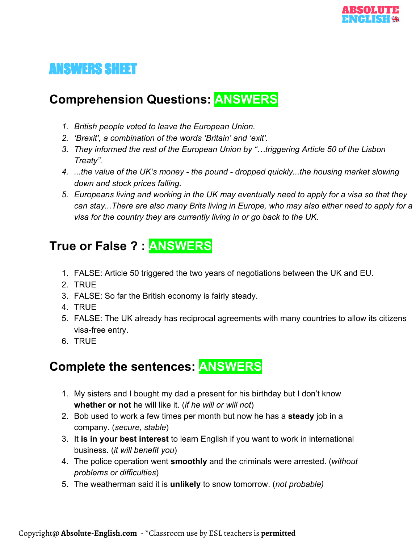# ANSWERS SHEET

## **Comprehension Questions: ANSWERS**

- *1. British people voted to leave the European Union.*
- *2. 'Brexit', a combination of the words 'Britain' and 'exit'.*
- *3. They informed the rest of the European Union by "…triggering Article 50 of the Lisbon Treaty".*
- *4. ...the value of the UK's money the pound dropped quickly...the housing market slowing down and stock prices falling.*
- *5. Europeans living and working in the UK may eventually need to apply for a visa so that they can stay...There are also many Brits living in Europe, who may also either need to apply for a visa for the country they are currently living in or go back to the UK.*

## **True or False ? : ANSWERS**

- 1. FALSE: Article 50 triggered the two years of negotiations between the UK and EU.
- 2. TRUE
- 3. FALSE: So far the British economy is fairly steady.
- 4. TRUE
- 5. FALSE: The UK already has reciprocal agreements with many countries to allow its citizens visa-free entry.
- 6. TRUE

## **Complete the sentences: ANSWERS**

- 1. My sisters and I bought my dad a present for his birthday but I don't know **whether or not** he will like it. (*if he will or will not*)
- 2. Bob used to work a few times per month but now he has a **steady** job in a company. (*secure, stable*)
- 3. It **is in your best interest** to learn English if you want to work in international business. (*it will benefit you*)
- 4. The police operation went **smoothly** and the criminals were arrested. (*without problems or difficulties*)
- 5. The weatherman said it is **unlikely** to snow tomorrow. (*not probable)*